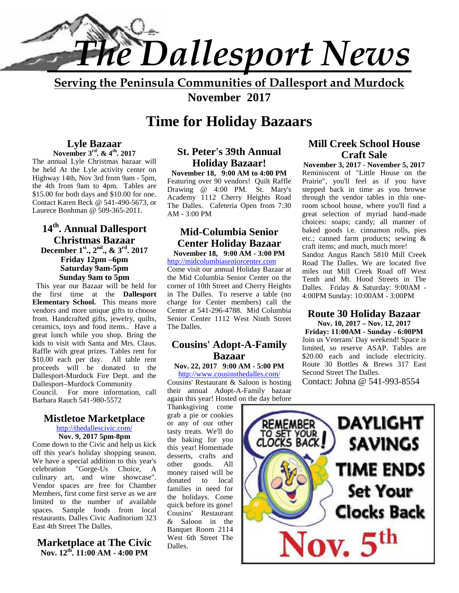

**Serving the Peninsula Communities of Dallesport and Murdock November 2017**

# **Time for Holiday Bazaars**

#### **Lyle Bazaar November 3rd. & 4th . 2017**

The annual Lyle Christmas bazaar will be held At the Lyle activity center on Highway 14th, Nov 3rd from 9am - 5pm, the 4th from 9am to 4pm. Tables are \$15.00 for both days and \$10.00 for one. Contact Karen Beck @ 541-490-5673, or Laurece Bonhman @ 509-365-2011.

#### **14th. Annual Dallesport Christmas Bazaar December 1st., 2nd., & 3rd. 2017 Friday 12pm –6pm Saturday 9am-5pm Sunday 9am to 5pm**

This year our Bazaar will be held for the first time at the **Dallesport Elementary School.** This means more vendors and more unique gifts to choose from. Handcrafted gifts, jewelry, quilts, ceramics, toys and food items.. Have a great lunch while you shop. Bring the kids to visit with Santa and Mrs. Claus. Raffle with great prizes. Tables rent for \$10.00 each per day. All table rent proceeds will be donated to the Dallesport-Murdock Fire Dept. and the Dallesport–Murdock Community Council. For more information, call Barbara Rauch 541-980-5572

#### **Mistletoe Marketplace**

http://thedallescivic.com/

**Nov. 9, 2017 5pm-8pm** Come down to the Civic and help us kick off this year's holiday shopping season. We have a special addition to this year's<br>celebration "Gorge-Us Choice, A "Gorge-Us Choice, A culinary art, and wine showcase". Vendor spaces are free for Chamber Members, first come first serve as we are limited to the number of available spaces. Sample foods from local restaurants. Dalles Civic Auditorium 323 East 4th Street The Dalles.

## **Marketplace at The Civic Nov. 12th . 11:00 AM - 4:00 PM**

# **St. Peter's 39th Annual Holiday Bazaar!**

**November 18, 9:00 AM to 4:00 PM** Featuring over 90 vendors! Quilt Raffle Drawing @ 4:00 PM. St. Mary's Academy 1112 Cherry Heights Road The Dalles. Cafeteria Open from 7:30 AM - 3:00 PM

#### **Mid-Columbia Senior Center Holiday Bazaar November 18, 9:00 AM - 3:00 PM**

http://midcolumbiaseniorcenter.com

Come visit our annual Holiday Bazaar at the Mid Columbia Senior Center on the corner of 10th Street and Cherry Heights in The Dalles. To reserve a table (no charge for Center members) call the Center at 541-296-4788. Mid Columbia Senior Center 1112 West Ninth Street The Dalles.

## **Cousins' Adopt-A-Family Bazaar**

# **Nov. 22, 2017 9:00 AM - 5:00 PM**

http://www.cousinsthedalles.com/ Cousins' Restaurant & Saloon is hosting their annual Adopt-A-Family bazaar

again this year! Hosted on the day before Thanksgiving come grab a pie or cookies or any of our other the baking for you this year! Homemade desserts, crafts and other goods. All money raised will be donated to local families in need for the holidays. Come quick before its gone! Cousins' Restaurant & Saloon in the Banquet Room 2114 West 6th Street The Dalles.

## **Mill Creek School House Craft Sale**

**November 3, 2017 - November 5, 2017** Reminiscent of "Little House on the Prairie", you'll feel as if you have stepped back in time as you browse through the vendor tables in this oneroom school house, where you'll find a great selection of myriad hand-made choices: soaps; candy; all manner of baked goods i.e. cinnamon rolls, pies etc.; canned farm products; sewing & craft items; and much, much more! Sandoz Angus Ranch 5810 Mill Creek Road The Dalles. We are located five miles out Mill Creek Road off West Tenth and Mt. Hood Streets in The Dalles. Friday & Saturday: 9:00AM - 4:00PM Sunday: 10:00AM - 3:00PM

#### **Route 30 Holiday Bazaar Nov. 10, 2017 – Nov. 12, 2017**

**Friday: 11:00AM - Sunday - 6:00PM** Join us Veterans' Day weekend! Space is limited, so reserve ASAP. Tables are \$20.00 each and include electricity. Route 30 Bottles & Brews 317 East Second Street The Dalles.

Contact: Johna @ 541-993-8554

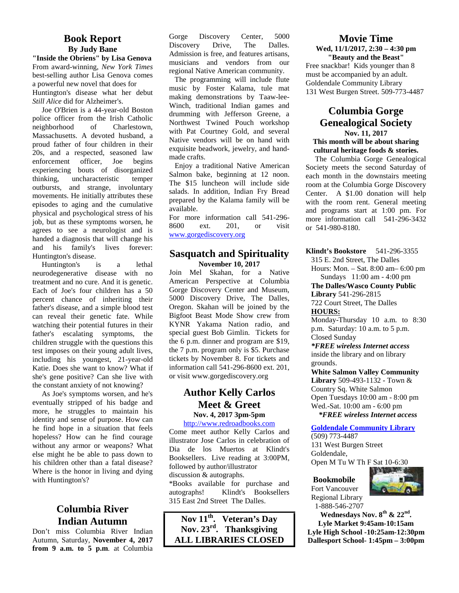# **Book Report By Judy Bane**

**"Inside the Obriens" by Lisa Genova** From award-winning, *New York Times* best-selling author Lisa Genova comes a powerful new novel that does for Huntington's disease what her debut *Still Alice* did for Alzheimer's.

Joe O'Brien is a 44-year-old Boston police officer from the Irish Catholic neighborhood of Charlestown, Massachusetts. A devoted husband, a proud father of four children in their 20s, and a respected, seasoned law enforcement officer, Joe begins experiencing bouts of disorganized<br>thinking, uncharacteristic temper uncharacteristic temper outbursts, and strange, involuntary movements. He initially attributes these episodes to aging and the cumulative physical and psychological stress of his job, but as these symptoms worsen, he  $\frac{100}{8600}$ agrees to see a neurologist and is handed a diagnosis that will change his and his family's lives forever: Huntington's disease.

Huntington's is a lethal neurodegenerative disease with no treatment and no cure. And it is genetic. Each of Joe's four children has a 50 percent chance of inheriting their father's disease, and a simple blood test can reveal their genetic fate. While watching their potential futures in their father's escalating symptoms, the children struggle with the questions this test imposes on their young adult lives, including his youngest, 21-year-old Katie. Does she want to know? What if she's gene positive? Can she live with the constant anxiety of not knowing?

As Joe's symptoms worsen, and he's eventually stripped of his badge and more, he struggles to maintain his identity and sense of purpose. How can he find hope in a situation that feels hopeless? How can he find courage without any armor or weapons? What else might he be able to pass down to his children other than a fatal disease? Where is the honor in living and dying with Huntington's?

# **Columbia River Indian Autumn**

Don't miss Columbia River Indian Autumn, Saturday, **November 4, 2017 from 9 a.m. to 5 p.m**. at Columbia Gorge Discovery Center, 5000 Discovery Drive, The Dalles. Admission is free, and features artisans, musicians and vendors from our regional Native American community.

 The programming will include flute music by Foster Kalama, tule mat making demonstrations by Taaw-lee- Winch, traditional Indian games and drumming with Jefferson Greene, a Northwest Twined Pouch workshop with Pat Courtney Gold, and several Native vendors will be on hand with exquisite beadwork, jewelry, and hand made crafts.

 Enjoy a traditional Native American Salmon bake, beginning at 12 noon. The \$15 luncheon will include side salads. In addition, Indian Fry Bread prepared by the Kalama family will be available.

For more information call 541-296- 8600 ext. 201, or visit www.gorgediscovery.org

#### **Sasquatch and Spirituality November 10, 2017**

Join Mel Skahan, for a Native American Perspective at Columbia Gorge Discovery Center and Museum, 5000 Discovery Drive, The Dalles, Oregon. Skahan will be joined by the Bigfoot Beast Mode Show crew from KYNR Yakama Nation radio, and special guest Bob Gimlin. Tickets for the 6 p.m. dinner and program are \$19, the 7 p.m. program only is \$5. Purchase tickets by November 8. For tickets and information call 541-296-8600 ext. 201, or visit www.gorgediscovery.org

## **Author Kelly Carlos Meet & Greet Nov. 4, 2017 3pm-5pm**

#### http://www.redroadbooks.com

Come meet author Kelly Carlos and illustrator Jose Carlos in celebration of Dia de los Muertos at Klindt's Booksellers. Live reading at 3:00PM, followed by author/illustrator discussion & autographs.

\*Books available for purchase and autographs! Klindt's Booksellers 315 East 2nd Street The Dalles.

**Nov 11th. Veteran's Day Nov. 23rd. Thanksgiving ALL LIBRARIES CLOSED**

#### **Movie Time Wed, 11/1/2017, 2:30 – 4:30 pm "Beauty and the Beast"**

Free snackbar! Kids younger than 8 must be accompanied by an adult. Goldendale Community Library 131 West Burgen Street. 509-773-4487

#### **Columbia Gorge Genealogical Society Nov. 11, 2017 This month will be about sharing cultural heritage foods & stories.**

The Columbia Gorge Genealogical Society meets the second Saturday of each month in the downstairs meeting room at the Columbia Gorge Discovery Center. A \$1.00 donation will help with the room rent. General meeting and programs start at 1:00 pm. For more information call 541-296-3432 or 541-980-8180.

**Klindt's Bookstore** 541-296-3355 315 E. 2nd Street, The Dalles

Hours: Mon. – Sat. 8:00 am– 6:00 pm Sundays 11:00 am - 4:00 pm

**The Dalles/Wasco County Public**

**Library** 541-296-2815

722 Court Street, The Dalles **HOURS:**

Monday-Thursday 10 a.m. to 8:30 p.m. Saturday: 10 a.m. to 5 p.m. Closed Sunday

*\*FREE wireless Internet access* inside the library and on library grounds.

**White Salmon Valley Community Library** 509-493-1132 - Town & Country Sq. White Salmon Open Tuesdays 10:00 am - 8:00 pm Wed.-Sat. 10:00 am - 6:00 pm  *\*FREE wireless Internet access*

#### **Goldendale Community Library**

(509) 773-4487 131 West Burgen Street Goldendale, Open M Tu W Th F Sat 10-6:30

#### **Bookmobile**



Fort Vancouver Regional Library 1-888-546-2707

**Wednesdays Nov. 8th & 22nd . Lyle Market 9:45am-10:15am Lyle High School -10:25am-12:30pm Dallesport School- 1:45pm – 3:00pm**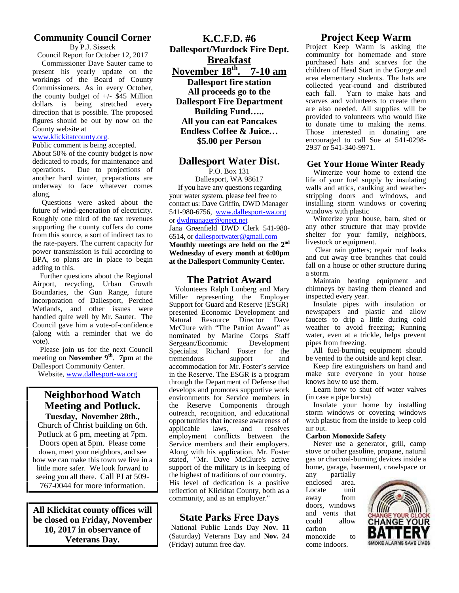# **Community Council Corner**

By P.J. Sisseck

Council Report for October 12, 2017 Commissioner Dave Sauter came to present his yearly update on the workings of the Board of County Commissioners. As in every October, the county budget of  $+/-$  \$45 Million dollars is being stretched every direction that is possible. The proposed figures should be out by now on the County website at

#### www.klickitatcounty.org.

Public comment is being accepted.

About 50% of the county budget is now dedicated to roads, for maintenance and operations. Due to projections of another hard winter, preparations are underway to face whatever comes along.

Questions were asked about the future of wind-generation of electricity. Roughly one third of the tax revenues supporting the county coffers do come from this source, a sort of indirect tax to the rate-payers. The current capacity for power transmission is full according to BPA, so plans are in place to begin adding to this.

Further questions about the Regional Airport, recycling, Urban Growth Boundaries, the Gun Range, future incorporation of Dallesport, Perched Wetlands, and other issues were handled quite well by Mr. Sauter. The Council gave him a vote-of-confidence (along with a reminder that we do vote).

 Please join us for the next Council meeting on **November 9th** . **7pm** at the Dallesport Community Center.

Website, www.dallesport-wa.org

## **Neighborhood Watch Meeting and Potluck. Tuesday, November 28th.,**

Church of Christ building on 6th. Potluck at 6 pm, meeting at 7pm. Doors open at 5pm. Please come down, meet your neighbors, and see how we can make this town we live in a little more safer. We look forward to seeing you all there. Call PJ at 509- 767-0044 for more information.

**All Klickitat county offices will be closed on Friday, November 10, 2017 in observance of Veterans Day.**

**K.C.F.D. #6 Dallesport/Murdock Fire Dept. Breakfast November 18th . 7-10 am Dallesport fire station All proceeds go to the Dallesport Fire Department Building Fund….. All you can eat Pancakes Endless Coffee & Juice… \$5.00 per Person**

## **Dallesport Water Dist.**

P.O. Box 131 Dallesport, WA 98617 If you have any questions regarding your water system, please feel free to contact us: Dave Griffin, DWD Manager 541-980-6756, www.dallesport-wa.org or dwdmanager@qnect.net Jana Greenfield DWD Clerk 541-980- 6514, or dallesportwater@gmail.com **Monthly meetings are held on the 2nd Wednesday of every month at 6:00pm at the Dallesport Community Center.**

## **The Patriot Award**

Volunteers Ralph Lunberg and Mary Miller representing the Employer Support for Guard and Reserve (ESGR) presented Economic Development and<br>Natural Resource Director Dave Natural Resource McClure with "The Patriot Award" as nominated by Marine Corps Staff<br>Sergeant/Economic Development Sergeant/Economic Specialist Richard Foster for the tremendous support and tremendous support and accommodation for Mr. Foster's service in the Reserve. The ESGR is a program through the Department of Defense that develops and promotes supportive work environments for Service members in the Reserve Components through outreach, recognition, and educational opportunities that increase awareness of applicable laws, and resolves employment conflicts between the Service members and their employers. Along with his application, Mr. Foster stated, "Mr. Dave McClure's active support of the military is in keeping of home the highest of traditions of our country. any the highest of traditions of our country. His level of dedication is a positive reflection of Klickitat County, both as a community, and as an employer."

# **State Parks Free Days**

 National Public Lands Day **Nov. 11** (Saturday) Veterans Day and **Nov. 24** (Friday) autumn free day.

## **Project Keep Warm**

Project Keep Warm is asking the community for homemade and store purchased hats and scarves for the children of Head Start in the Gorge and area elementary students. The hats are collected year-round and distributed each fall. Yarn to make hats and scarves and volunteers to create them are also needed. All supplies will be provided to volunteers who would like to donate time to making the items. Those interested in donating are encouraged to call Sue at 541-0298- 2937 or 541-340-9971.

#### **Get Your Home Winter Ready**

Winterize your home to extend the life of your fuel supply by insulating walls and attics, caulking and weather stripping doors and windows, and installing storm windows or covering windows with plastic

Winterize your house, barn, shed or any other structure that may provide shelter for your family, neighbors, livestock or equipment.

Clear rain gutters; repair roof leaks and cut away tree branches that could fall on a house or other structure during a storm.

Maintain heating equipment and chimneys by having them cleaned and inspected every year.

Insulate pipes with insulation or newspapers and plastic and allow faucets to drip a little during cold weather to avoid freezing; Running water, even at a trickle, helps prevent pipes from freezing.

All fuel-burning equipment should be vented to the outside and kept clear.

Keep fire extinguishers on hand and make sure everyone in your house knows how to use them.

Learn how to shut off water valves (in case a pipe bursts)

Insulate your home by installing storm windows or covering windows with plastic from the inside to keep cold air out.

#### **Carbon Monoxide Safety**

Never use a generator, grill, camp stove or other gasoline, propane, natural gas or charcoal-burning devices inside a home, garage, basement, crawlspace or

partially<br>1 area. enclosed area.<br>Locate unit Locate unit<br>away from away doors, windows and vents that could allow carbon come indoors.

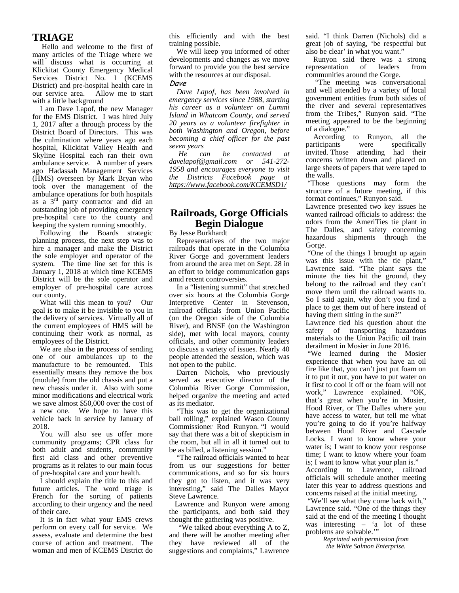## **TRIAGE**

Hello and welcome to the first of many articles of the Triage where we will discuss what is occurring at Klickitat County Emergency Medical Services District No. 1 (KCEMS District) and pre-hospital health care in our service area. Allow me to start with a little background

I am Dave Lapof, the new Manager for the EMS District. I was hired July 1, 2017 after a through process by the District Board of Directors. This was the culmination where years ago each hospital, Klickitat Valley Health and *seven y*<br>Skyline Hospital each ran their own He Skyline Hospital each ran their own ambulance service. A number of years ago Hadassah Management Services (HMS) overseen by Mark Bryan who took over the management of the ambulance operations for both hospitals as a 3rd party contractor and did an outstanding job of providing emergency pre-hospital care to the county and keeping the system running smoothly.

Following the Boards strategic planning process, the next step was to hire a manager and make the District the sole employer and operator of the system. The time line set for this is January 1, 2018 at which time KCEMS District will be the sole operator and employer of pre-hospital care across our county.

What will this mean to you? Our goal is to make it be invisible to you in the delivery of services. Virtually all of the current employees of HMS will be continuing their work as normal, as employees of the District.

We are also in the process of sending one of our ambulances up to the manufacture to be remounted. This essentially means they remove the box (module) from the old chassis and put a new chassis under it. Also with some minor modifications and electrical work we save almost \$50,000 over the cost of a new one. We hope to have this vehicle back in service by January of 2018.

You will also see us offer more community programs; CPR class for both adult and students, community first aid class and other preventive programs as it relates to our main focus of pre-hospital care and your health.

I should explain the title to this and future articles. The word triage is French for the sorting of patients according to their urgency and the need of their care.

It is in fact what your EMS crews perform on every call for service. We assess, evaluate and determine the best course of action and treatment. The woman and men of KCEMS District do

this efficiently and with the best training possible.

We will keep you informed of other developments and changes as we move forward to provide you the best service with the resources at our disposal.

#### *Dave*

*Dave Lapof, has been involved in emergency services since 1988, starting his career as a volunteer on Lummi Island in Whatcom County, and served 20 years as a volunteer firefighter in both Washington and Oregon, before becoming a chief officer for the past seven years*

*He can be contacted at davelapof@gmail.com or 541-272- 1958 and encourages everyone to visit the Districts Facebook page at https://www.facebook.com/KCEMSD1/*

# **Railroads, Gorge Officials Begin Dialogue**

By Jesse Burkhardt

 Representatives of the two major railroads that operate in the Columbia River Gorge and government leaders from around the area met on Sept. 28 in an effort to bridge communication gaps amid recent controversies.

 In a "listening summit" that stretched over six hours at the Columbia Gorge Interpretive Center in Stevenson. railroad officials from Union Pacific (on the Oregon side of the Columbia River), and BNSF (on the Washington side), met with local mayors, county officials, and other community leaders to discuss a variety of issues. Nearly 40 people attended the session, which was not open to the public.

 Darren Nichols, who previously served as executive director of the Columbia River Gorge Commission, helped organize the meeting and acted as its mediator.

 "This was to get the organizational ball rolling," explained Wasco County Commissioner Rod Runyon. "I would say that there was a bit of skepticism in the room, but all in all it turned out to be as billed, a listening session."

 "The railroad officials wanted to hear from us our suggestions for better communications, and so for six hours they got to listen, and it was very interesting," said The Dalles Mayor Steve Lawrence.

 Lawrence and Runyon were among the participants, and both said they thought the gathering was positive.

 "We talked about everything A to Z, and there will be another meeting after they have reviewed all of the suggestions and complaints," Lawrence said. "I think Darren (Nichols) did a great job of saying, 'be respectful but also be clear' in what you want."

 Runyon said there was a strong representation of leaders from communities around the Gorge.

 "The meeting was conversational and well attended by a variety of local government entities from both sides of the river and several representatives from the Tribes," Runyon said. "The meeting appeared to be the beginning of a dialogue."

 According to Runyon, all the participants were specifically invited. Those attending had their concerns written down and placed on large sheets of papers that were taped to the walls.

 "Those questions may form the structure of a future meeting, if this format continues," Runyon said.

Lawrence presented two key issues he wanted railroad officials to address: the odors from the AmeriTies tie plant in The Dalles, and safety concerning hazardous shipments through the Gorge.

 "One of the things I brought up again was this issue with the tie plant," Lawrence said. "The plant says the minute the ties hit the ground, they belong to the railroad and they can't move them until the railroad wants to. So I said again, why don't you find a place to get them out of here instead of having them sitting in the sun?"

Lawrence tied his question about the safety of transporting hazardous materials to the Union Pacific oil train derailment in Mosier in June 2016.

 "We learned during the Mosier experience that when you have an oil fire like that, you can't just put foam on it to put it out, you have to put water on it first to cool it off or the foam will not work," Lawrence explained. "OK, that's great when you're in Mosier, Hood River, or The Dalles where you have access to water, but tell me what you're going to do if you're halfway between Hood River and Cascade Locks. I want to know where your water is; I want to know your response time; I want to know where your foam is; I want to know what your plan is." According to Lawrence, railroad officials will schedule another meeting later this year to address questions and concerns raised at the initial meeting.

 "We'll see what they come back with," Lawrence said. "One of the things they said at the end of the meeting I thought was interesting – 'a lot of these problems are solvable.'"

*Reprinted with permission from the White Salmon Enterprise.*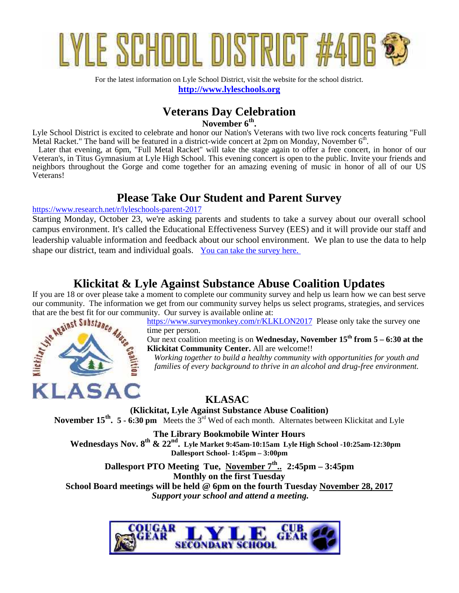

For the latest information on Lyle School District, visit the website for the school district. **http://www.lyleschools.org**

# **Veterans Day Celebration**

**November 6th .**

Lyle School District is excited to celebrate and honor our Nation's Veterans with two live rock concerts featuring "Full Metal Racket." The band will be featured in a district-wide concert at 2pm on Monday, November  $6^{\text{th}}$ .

 Later that evening, at 6pm, "Full Metal Racket" will take the stage again to offer a free concert, in honor of our Veteran's, in Titus Gymnasium at Lyle High School. This evening concert is open to the public. Invite your friends and neighbors throughout the Gorge and come together for an amazing evening of music in honor of all of our US Veterans!

# **Please Take Our Student and Parent Survey**

https://www.research.net/r/lyleschools-parent-2017

Starting Monday, October 23, we're asking parents and students to take a survey about our overall school campus environment. It's called the Educational Effectiveness Survey (EES) and it will provide our staff and leadership valuable information and feedback about our school environment. We plan to use the data to help shape our district, team and individual goals. You can take the survey here.

# **Klickitat & Lyle Against Substance Abuse Coalition Updates**

If you are 18 or over please take a moment to complete our community survey and help us learn how we can best serve our community. The information we get from our community survey helps us select programs, strategies, and services



that are the best fit for our community. Our survey is available online at:<br> **ARAINSTANCE** https://www.surveymonkey.com/r/KLKLON2017 Please only take the survey one time per person.

Our next coalition meeting is on **Wednesday, November 15<sup>th</sup>** from  $5 - 6:30$  at the **Klickitat Community Center.** All are welcome!!

*Working together to build a healthy community with opportunities for youth and families of every background to thrive in an alcohol and drug-free environment.*

# **KLASAC**

**(Klickitat, Lyle Against Substance Abuse Coalition) November 15th . 5 - 6:30 pm** Meets the 3rd Wed of each month. Alternates between Klickitat and Lyle

**The Library Bookmobile Winter Hours Wednesdays Nov. 8 th & 22 nd . Lyle Market 9:45am-10:15am Lyle High School -10:25am-12:30pm Dallesport School- 1:45pm – 3:00pm**

**Dallesport PTO Meeting Tue, November 7th .. 2:45pm – 3:45pm Monthly on the first Tuesday School Board meetings will be held @ 6pm on the fourth Tuesday November 28, 2017**

 *Support your school and attend a meeting.*

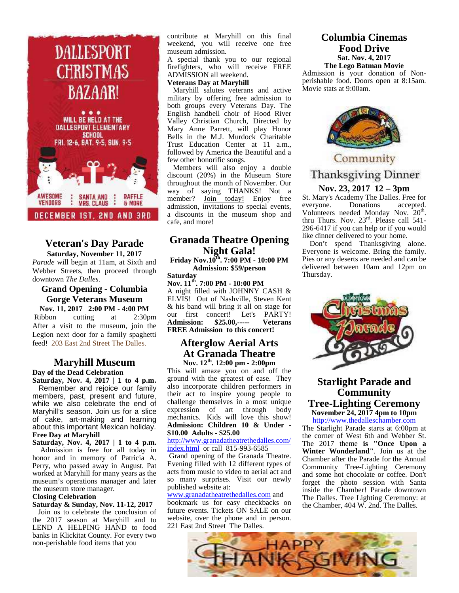

# **Veteran's Day Parade Saturday, November 11, 2017**

*Parade* will begin at 11am, at Sixth and Webber Streets, then proceed through downtown *The Dalles*.

#### **Grand Opening - Columbia Gorge Veterans Museum Nov. 11, 2017 2:00 PM - 4:00 PM**

Ribbon cutting at  $2:30 \text{pm}$   $0 \text{cm}$  rist After a visit to the museum, join the Legion next door for a family spaghetti feed! 203 East 2nd Street The Dalles.

# **Maryhill Museum**

**Day of the Dead Celebration**

**Saturday, Nov. 4, 2017 | 1 to 4 p.m.** Remember and rejoice our family members, past, present and future, while we also celebrate the end of Maryhill's season. Join us for a slice of cake, art-making and learning about this important Mexican holiday. **Free Day at Maryhill**

**Saturday, Nov. 4, 2017 | 1 to 4 p.m.**

Admission is free for all today in honor and in memory of Patricia A. Perry, who passed away in August. Pat worked at Maryhill for many years as the museum's operations manager and later the museum store manager.

#### **Closing Celebration**

**Saturday & Sunday, Nov. 11-12, 2017** Join us to celebrate the conclusion of the 2017 season at Maryhill and to LEND A HELPING HAND to food banks in Klickitat County. For every two non-perishable food items that you

contribute at Maryhill on this final weekend, you will receive one free museum admission.

A special thank you to our regional firefighters, who will receive FREE ADMISSION all weekend.

#### **Veterans Day at Maryhill**

Maryhill salutes veterans and active military by offering free admission to both groups every Veterans Day. The English handbell choir of Hood River Valley Christian Church, Directed by Mary Anne Parrett, will play Honor Bells in the M.J. Murdock Charitable Trust Education Center at 11 a.m., followed by America the Beautiful and a few other honorific songs.

Members will also enjoy a double<br>iscount (20%) in the Museum Store Thanksgiving Dinner discount (20%) in the Museum Store throughout the month of November. Our way of saying THANKS! Not a member? <u>Join today!</u> Enjoy free St. Mary's<br>admission invitations to special events everyone. admission, invitations to special events, a discounts in the museum shop and cafe, and more!

# **Granada Theatre Opening Night Gala!**

**Friday Nov.10th. 7:00 PM - 10:00 PM Admission: \$59/person Saturday**

**Nov. 11th. 7:00 PM - 10:00 PM** A night filled with JOHNNY CASH & ELVIS! Out of Nashville, Steven Kent & his band will bring it all on stage for our first concert! Let's PARTY! **Admission: \$25.00,----- Veterans FREE Admission to this concert!**

#### **Afterglow Aerial Arts At Granada Theatre Nov. 12th. 12:00 pm - 2:00pm**

This will amaze you on and off the ground with the greatest of ease. They also incorporate children performers in their act to inspire young people to challenge themselves in a most unique expression of art through body mechanics. Kids will love this show! **Admission: Children 10 & Under - \$10.00 Adults - \$25.00**

http://www.granadatheatrethedalles.com/ index.html or call 815-993-6585

 Grand opening of the Granada Theatre. Evening filled with 12 different types of acts from music to video to aerial act and so many surprises. Visit our newly published website at:

#### www.granadatheatrethedalles.com and

bookmark us for easy checkbacks on future events. Tickets ON SALE on our website, over the phone and in person. 221 East 2nd Street The Dalles.

#### **Columbia Cinemas Food Drive Sat. Nov. 4, 2017 The Lego Batman Movie**

Admission is your donation of Non perishable food. Doors open at 8:15am. Movie stats at 9:00am.



# Community

#### **Nov. 23, 2017 12 – 3pm**

St. Mary's Academy The Dalles. Free for Donations accepted. Volunteers needed Monday Nov. 20<sup>th</sup>. thru Thurs. Nov. 23rd . Please call 541- 296-6417 if you can help or if you would like dinner delivered to your home.

Don't spend Thanksgiving alone. Everyone is welcome. Bring the family. Pies or any deserts are needed and can be delivered between 10am and 12pm on Thursday.



## **Starlight Parade and Community Tree-Lighting Ceremony November 24, 2017 4pm to 10pm**

http://www.thedalleschamber.com The Starlight Parade starts at 6:00pm at the corner of West 6th and Webber St. The 2017 theme **is "Once Upon a Winter Wonderland"**. Join us at the Chamber after the Parade for the Annual Community Tree-Lighting Ceremony and some hot chocolate or coffee. Don't forget the photo session with Santa inside the Chamber! Parade downtown The Dalles. Tree Lighting Ceremony: at the Chamber, 404 W. 2nd. The Dalles.

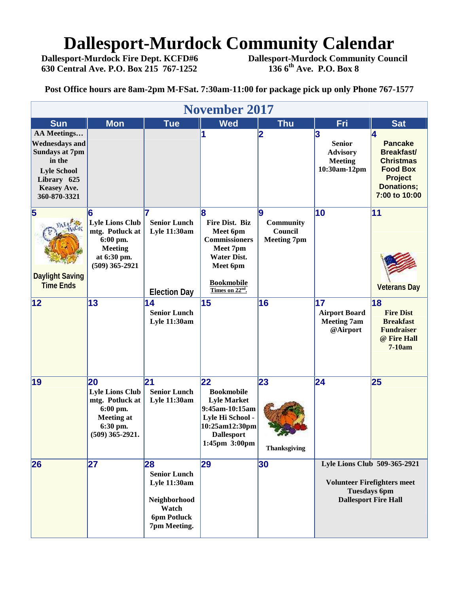# **Dallesport-Murdock Community Calendar**<br>Dallesport-Murdock Fire Dept. KCFD#6 Dallesport-Murdock Community Cour

**630 Central Ave. P.O. Box 215 767-1252 136 6th Ave. P.O. Box 8**

**Dallesport-Murdock Community Council**<br>136 6<sup>th</sup> Ave. P.O. Box 8

**Post Office hours are 8am-2pm M-FSat. 7:30am-11:00 for package pick up only Phone 767-1577**

| <b>November 2017</b>                                                                                                                               |                                                                                                                   |                                                                                                          |                                                                                                                                                            |                                                  |                                                                         |                                                                                                                                         |  |  |  |
|----------------------------------------------------------------------------------------------------------------------------------------------------|-------------------------------------------------------------------------------------------------------------------|----------------------------------------------------------------------------------------------------------|------------------------------------------------------------------------------------------------------------------------------------------------------------|--------------------------------------------------|-------------------------------------------------------------------------|-----------------------------------------------------------------------------------------------------------------------------------------|--|--|--|
| <b>Sun</b>                                                                                                                                         | <b>Mon</b>                                                                                                        | <b>Tue</b>                                                                                               | <b>Wed</b>                                                                                                                                                 | <b>Thu</b>                                       | Fri                                                                     | <b>Sat</b>                                                                                                                              |  |  |  |
| AA Meetings<br><b>Wednesdays and</b><br><b>Sundays at 7pm</b><br>in the<br><b>Lyle School</b><br>Library 625<br><b>Keasey Ave.</b><br>360-870-3321 |                                                                                                                   |                                                                                                          | 1                                                                                                                                                          | 12                                               | 3<br><b>Senior</b><br><b>Advisory</b><br><b>Meeting</b><br>10:30am-12pm | 4<br><b>Pancake</b><br><b>Breakfast/</b><br><b>Christmas</b><br><b>Food Box</b><br><b>Project</b><br><b>Donations;</b><br>7:00 to 10:00 |  |  |  |
| 5<br><b>Daylight Saving</b><br><b>Time Ends</b>                                                                                                    | 6<br><b>Lyle Lions Club</b><br>mtg. Potluck at<br>6:00 pm.<br><b>Meeting</b><br>at 6:30 pm.<br>$(509)$ 365-2921   | <b>Senior Lunch</b><br><b>Lyle 11:30am</b><br><b>Election Day</b>                                        | l8<br>Fire Dist. Biz<br>Meet 6pm<br><b>Commissioners</b><br>Meet 7pm<br><b>Water Dist.</b><br>Meet 6pm<br><b>Bookmobile</b><br>Times on 22 <sup>nd</sup> . | 19<br>Community<br>Council<br><b>Meeting 7pm</b> | 10                                                                      | 11<br><b>Veterans Day</b>                                                                                                               |  |  |  |
| 12                                                                                                                                                 | 13                                                                                                                | 14<br><b>Senior Lunch</b><br><b>Lyle 11:30am</b>                                                         | 15                                                                                                                                                         | 16                                               | 17<br><b>Airport Board</b><br><b>Meeting 7am</b><br>@Airport            | 18<br><b>Fire Dist</b><br><b>Breakfast</b><br><b>Fundraiser</b><br>@ Fire Hall<br>7-10am                                                |  |  |  |
| 19                                                                                                                                                 | 20<br><b>Lyle Lions Club</b><br>mtg. Potluck at<br>6:00 pm.<br><b>Meeting at</b><br>6:30 pm.<br>$(509)$ 365-2921. | 21<br><b>Senior Lunch</b><br><b>Lyle 11:30am</b>                                                         | 22<br><b>Bookmobile</b><br><b>Lyle Market</b><br>9:45am-10:15am<br>Lyle Hi School -<br>10:25am12:30pm<br><b>Dallesport</b><br>1:45pm 3:00pm                | 23<br><b>Thanksgiving</b>                        | 24                                                                      | 25                                                                                                                                      |  |  |  |
| 26                                                                                                                                                 | 27                                                                                                                | 28<br><b>Senior Lunch</b><br><b>Lyle 11:30am</b><br>Neighborhood<br>Watch<br>6pm Potluck<br>7pm Meeting. | 29                                                                                                                                                         | 30                                               |                                                                         | Lyle Lions Club 509-365-2921<br><b>Volunteer Firefighters meet</b><br><b>Tuesdays 6pm</b><br><b>Dallesport Fire Hall</b>                |  |  |  |